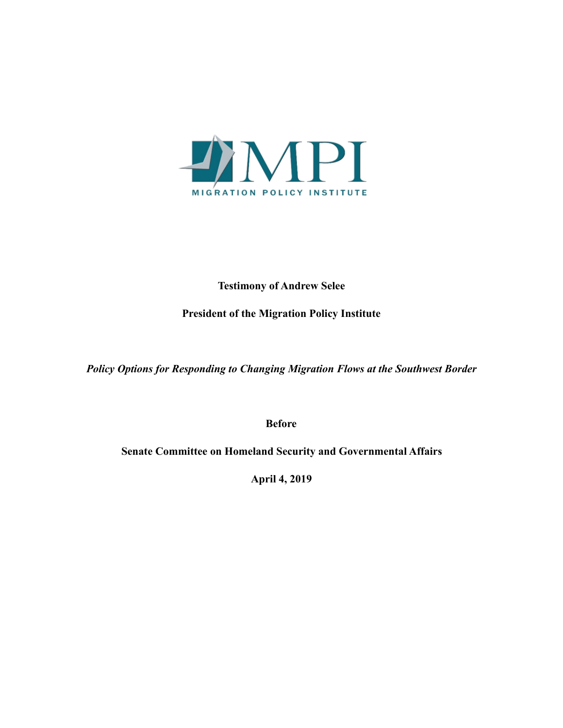

# **Testimony of Andrew Selee**

## **President of the Migration Policy Institute**

*Policy Options for Responding to Changing Migration Flows at the Southwest Border* 

**Before** 

**Senate Committee on Homeland Security and Governmental Affairs** 

**April 4, 2019**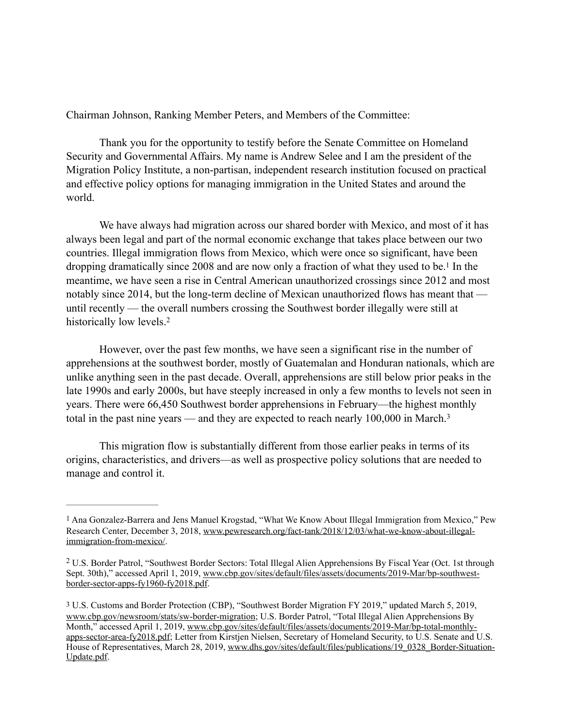Chairman Johnson, Ranking Member Peters, and Members of the Committee:

 Thank you for the opportunity to testify before the Senate Committee on Homeland Security and Governmental Affairs. My name is Andrew Selee and I am the president of the Migration Policy Institute, a non-partisan, independent research institution focused on practical and effective policy options for managing immigration in the United States and around the world.

<span id="page-1-3"></span> We have always had migration across our shared border with Mexico, and most of it has always been legal and part of the normal economic exchange that takes place between our two countries. Illegal immigration flows from Mexico, which were once so significant, have been dropping dramatically since 2008 and are now only a fraction of what they used to be[.](#page-1-0)<sup>[1](#page-1-0)</sup> In the meantime, we have seen a rise in Central American unauthorized crossings since 2012 and most notably since 2014, but the long-term decline of Mexican unauthorized flows has meant that until recently — the overall numbers crossing the Southwest border illegally were still at historically low levels.[2](#page-1-1)

<span id="page-1-4"></span> However, over the past few months, we have seen a significant rise in the number of apprehensions at the southwest border, mostly of Guatemalan and Honduran nationals, which are unlike anything seen in the past decade. Overall, apprehensions are still below prior peaks in the late 1990s and early 2000s, but have steeply increased in only a few months to levels not seen in years. There were 66,450 Southwest border apprehensions in February—the highest monthly total in the past nine years — and they are expected to reach nearly 100,000 in March. [3](#page-1-2)

<span id="page-1-5"></span> This migration flow is substantially different from those earlier peaks in terms of its origins, characteristics, and drivers—as well as prospective policy solutions that are needed to manage and control it.

<span id="page-1-0"></span>[<sup>1</sup>](#page-1-3) Ana Gonzalez-Barrera and Jens Manuel Krogstad, "What We Know About Illegal Immigration from Mexico," Pew Research Center, December 3, 2018, [www.pewresearch.org/fact-tank/2018/12/03/what-we-know-about-illegal](http://www.pewresearch.org/fact-tank/2018/12/03/what-we-know-about-illegal-immigration-from-mexico/)[immigration-from-mexico/.](http://www.pewresearch.org/fact-tank/2018/12/03/what-we-know-about-illegal-immigration-from-mexico/)

<span id="page-1-1"></span>U.S. Border Patrol, "Southwest Border Sectors: Total Illegal Alien Apprehensions By Fiscal Year (Oct. 1st through [2](#page-1-4) Sept. 30th)," accessed April 1, 2019, [www.cbp.gov/sites/default/files/assets/documents/2019-Mar/bp-southwest](http://www.cbp.gov/sites/default/files/assets/documents/2019-Mar/bp-southwest-border-sector-apps-fy1960-fy2018.pdf)[border-sector-apps-fy1960-fy2018.pdf.](http://www.cbp.gov/sites/default/files/assets/documents/2019-Mar/bp-southwest-border-sector-apps-fy1960-fy2018.pdf) 

<span id="page-1-2"></span>[<sup>3</sup>](#page-1-5) U.S. Customs and Border Protection (CBP), "Southwest Border Migration FY 2019," updated March 5, 2019, [www.cbp.gov/newsroom/stats/sw-border-migration;](http://www.cbp.gov/newsroom/stats/sw-border-migration) U.S. Border Patrol, "Total Illegal Alien Apprehensions By Month," accessed April 1, 2019, [www.cbp.gov/sites/default/files/assets/documents/2019-Mar/bp-total-monthly](http://www.cbp.gov/sites/default/files/assets/documents/2019-Mar/bp-total-monthly-apps-sector-area-fy2018.pdf)[apps-sector-area-fy2018.pdf;](http://www.cbp.gov/sites/default/files/assets/documents/2019-Mar/bp-total-monthly-apps-sector-area-fy2018.pdf) Letter from Kirstjen Nielsen, Secretary of Homeland Security, to U.S. Senate and U.S. House of Representatives, March 28, 2019, [www.dhs.gov/sites/default/files/publications/19\\_0328\\_Border-Situation-](http://www.dhs.gov/sites/default/files/publications/19_0328_Border-Situation-Update.pdf)[Update.pdf.](http://www.dhs.gov/sites/default/files/publications/19_0328_Border-Situation-Update.pdf)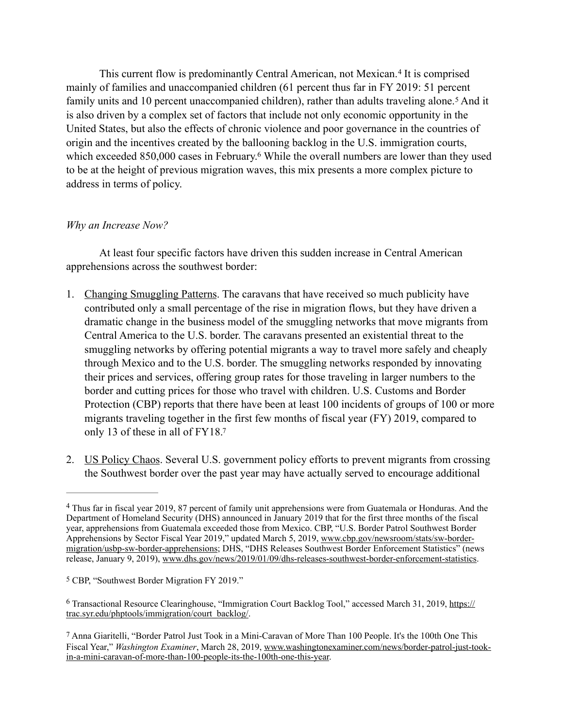<span id="page-2-5"></span><span id="page-2-4"></span>Thiscurrent flow is predominantly Central American, not Mexican.<sup>[4](#page-2-0)</sup> It is comprised mainly of families and unaccompanied children (61 percent thus far in FY 2019: 51 percent familyunits and 10 percent unaccompanied children), rather than adults traveling alone.<sup>[5](#page-2-1)</sup> And it is also driven by a complex set of factors that include not only economic opportunity in the United States, but also the effects of chronic violence and poor governance in the countries of origin and the incentives created by the ballooning backlog in the U.S. immigration courts, which exceeded 850,000 cases in February[.](#page-2-2)<sup>[6](#page-2-2)</sup> While the overall numbers are lower than they used to be at the height of previous migration waves, this mix presents a more complex picture to address in terms of policy.

## <span id="page-2-6"></span>*Why an Increase Now?*

At least four specific factors have driven this sudden increase in Central American apprehensions across the southwest border:

- 1. Changing Smuggling Patterns. The caravans that have received so much publicity have contributed only a small percentage of the rise in migration flows, but they have driven a dramatic change in the business model of the smuggling networks that move migrants from Central America to the U.S. border. The caravans presented an existential threat to the smuggling networks by offering potential migrants a way to travel more safely and cheaply through Mexico and to the U.S. border. The smuggling networks responded by innovating their prices and services, offering group rates for those traveling in larger numbers to the border and cutting prices for those who travel with children. U.S. Customs and Border Protection (CBP) reports that there have been at least 100 incidents of groups of 100 or more migrants traveling together in the first few months of fiscal year (FY) 2019, compared to only 13 of these in all of FY18[.7](#page-2-3)
- <span id="page-2-7"></span>2. US Policy Chaos. Several U.S. government policy efforts to prevent migrants from crossing the Southwest border over the past year may have actually served to encourage additional

<span id="page-2-0"></span>Thus far in fiscal year 2019, 87 percent of family unit apprehensions were from Guatemala or Honduras. And the [4](#page-2-4) Department of Homeland Security (DHS) announced in January 2019 that for the first three months of the fiscal year, apprehensions from Guatemala exceeded those from Mexico. CBP, "U.S. Border Patrol Southwest Border Apprehensions by Sector Fiscal Year 2019," updated March 5, 2019, [www.cbp.gov/newsroom/stats/sw-border](http://www.cbp.gov/newsroom/stats/sw-border-migration/usbp-sw-border-apprehensions)[migration/usbp-sw-border-apprehensions;](http://www.cbp.gov/newsroom/stats/sw-border-migration/usbp-sw-border-apprehensions) DHS, "DHS Releases Southwest Border Enforcement Statistics" (news release, January 9, 2019), [www.dhs.gov/news/2019/01/09/dhs-releases-southwest-border-enforcement-statistics.](http://www.dhs.gov/news/2019/01/09/dhs-releases-southwest-border-enforcement-statistics)

<span id="page-2-1"></span>[<sup>5</sup>](#page-2-5) CBP, "Southwest Border Migration FY 2019."

<span id="page-2-2"></span><sup>&</sup>lt;sup>6</sup> Transactional Resource Clearinghouse, "Immigration Court Backlog Tool," accessed March 31, 2019, [https://](https://trac.syr.edu/phptools/immigration/court_backlog/) [trac.syr.edu/phptools/immigration/court\\_backlog/](https://trac.syr.edu/phptools/immigration/court_backlog/).

<span id="page-2-3"></span>[<sup>7</sup>](#page-2-7) Anna Giaritelli, "Border Patrol Just Took in a Mini-Caravan of More Than 100 People. It's the 100th One This Fiscal Year," *Washington Examiner*, March 28, 2019, [www.washingtonexaminer.com/news/border-patrol-just-took](http://www.washingtonexaminer.com/news/border-patrol-just-took-in-a-mini-caravan-of-more-than-100-people-its-the-100th-one-this-year)[in-a-mini-caravan-of-more-than-100-people-its-the-100th-one-this-year.](http://www.washingtonexaminer.com/news/border-patrol-just-took-in-a-mini-caravan-of-more-than-100-people-its-the-100th-one-this-year)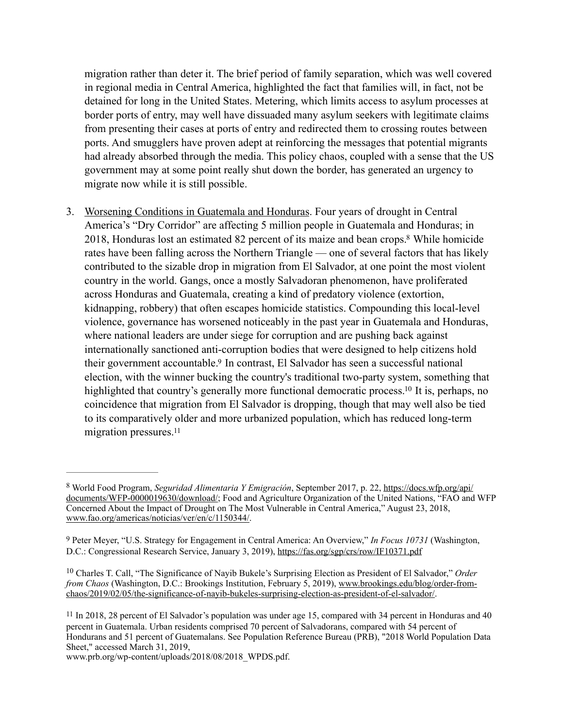migration rather than deter it. The brief period of family separation, which was well covered in regional media in Central America, highlighted the fact that families will, in fact, not be detained for long in the United States. Metering, which limits access to asylum processes at border ports of entry, may well have dissuaded many asylum seekers with legitimate claims from presenting their cases at ports of entry and redirected them to crossing routes between ports. And smugglers have proven adept at reinforcing the messages that potential migrants had already absorbed through the media. This policy chaos, coupled with a sense that the US government may at some point really shut down the border, has generated an urgency to migrate now while it is still possible.

<span id="page-3-4"></span>3. Worsening Conditions in Guatemala and Honduras. Four years of drought in Central America's "Dry Corridor" are affecting 5 million people in Guatemala and Honduras; in 2018, Honduras lost an estimated 82 percent of its maize and bean crops[.](#page-3-0)<sup>[8](#page-3-0)</sup> While homicide rates have been falling across the Northern Triangle — one of several factors that has likely contributed to the sizable drop in migration from El Salvador, at one point the most violent country in the world. Gangs, once a mostly Salvadoran phenomenon, have proliferated across Honduras and Guatemala, creating a kind of predatory violence (extortion, kidnapping, robbery) that often escapes homicide statistics. Compounding this local-level violence, governance has worsened noticeably in the past year in Guatemala and Honduras, where national leaders are under siege for corruption and are pushing back against internationally sanctioned anti-corruption bodies that were designed to help citizens hold their government accountable[.](#page-3-1)<sup>[9](#page-3-1)</sup> In contrast, El Salvador has seen a successful national election, with the winner bucking the country's traditional two-party system, something that highlighted that country's generally more functional democratic process[.](#page-3-2)<sup>[10](#page-3-2)</sup> It is, perhaps, no coincidence that migration from El Salvador is dropping, though that may well also be tied to its comparatively older and more urbanized population, which has reduced long-term migration pressures.<sup>11</sup>

www.prb.org/wp-content/uploads/2018/08/2018\_WPDS.pdf.

<span id="page-3-7"></span><span id="page-3-6"></span><span id="page-3-5"></span><span id="page-3-0"></span>World Food Program, *Seguridad Alimentaria Y Emigración*, September 2017, p. 22, [https://docs.wfp.org/api/](https://docs.wfp.org/api/documents/WFP-0000019630/download/) [8](#page-3-4) [documents/WFP-0000019630/download/;](https://docs.wfp.org/api/documents/WFP-0000019630/download/) Food and Agriculture Organization of the United Nations, "FAO and WFP Concerned About the Impact of Drought on The Most Vulnerable in Central America," August 23, 2018, [www.fao.org/americas/noticias/ver/en/c/1150344/](http://www.fao.org/americas/noticias/ver/en/c/1150344/).

<span id="page-3-1"></span>[<sup>9</sup>](#page-3-5) Peter Meyer, "U.S. Strategy for Engagement in Central America: An Overview," *In Focus 10731* (Washington, D.C.: Congressional Research Service, January 3, 2019), <https://fas.org/sgp/crs/row/IF10371.pdf>

<span id="page-3-2"></span><sup>&</sup>lt;sup>[10](#page-3-6)</sup> Charles T. Call, "The Significance of Nayib Bukele's Surprising Election as President of El Salvador," Order *from Chaos* (Washington, D.C.: Brookings Institution, February 5, 2019), [www.brookings.edu/blog/order-from](https://www.brookings.edu/blog/order-from-chaos/2019/02/05/the-significance-of-nayib-bukeles-surprising-election-as-president-of-el-salvador/)[chaos/2019/02/05/the-significance-of-nayib-bukeles-surprising-election-as-president-of-el-salvador/.](https://www.brookings.edu/blog/order-from-chaos/2019/02/05/the-significance-of-nayib-bukeles-surprising-election-as-president-of-el-salvador/)

<span id="page-3-3"></span>[<sup>11</sup>](#page-3-7) In 2018, 28 percent of El Salvador's population was under age 15, compared with 34 percent in Honduras and 40 percent in Guatemala. Urban residents comprised 70 percent of Salvadorans, compared with 54 percent of Hondurans and 51 percent of Guatemalans. See Population Reference Bureau (PRB), "2018 World Population Data Sheet," accessed March 31, 2019,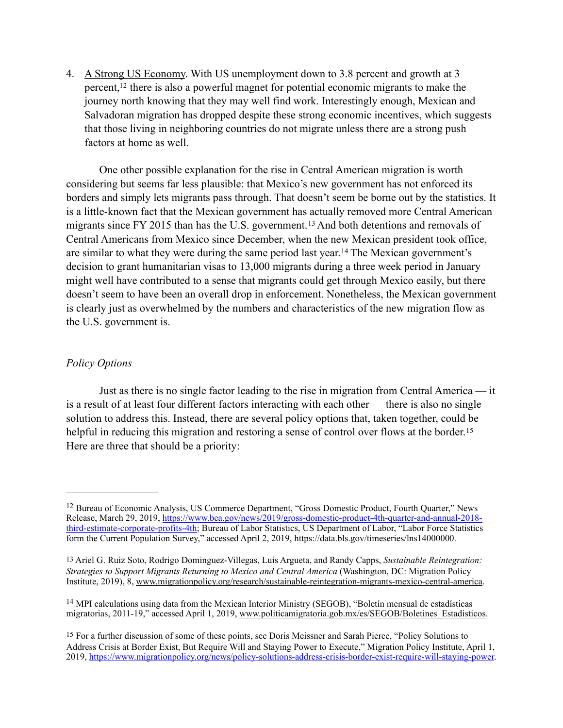<span id="page-4-4"></span>4. A Strong US Economy. With US unemployment down to 3.8 percent and growth at 3 percent[,](#page-4-0)  $12$  there is also a powerful magnet for potential economic migrants to make the journey north knowing that they may well find work. Interestingly enough, Mexican and Salvadoran migration has dropped despite these strong economic incentives, which suggests that those living in neighboring countries do not migrate unless there are a strong push factors at home as well.

<span id="page-4-6"></span><span id="page-4-5"></span>One other possible explanation for the rise in Central American migration is worth considering but seems far less plausible: that Mexico's new government has not enforced its borders and simply lets migrants pass through. That doesn't seem be borne out by the statistics. It is a little-known fact that the Mexican government has actually removed more Central American migrantssince FY 2015 than has the U.S. government.<sup>[13](#page-4-1)</sup> And both detentions and removals of Central Americans from Mexico since December, when the new Mexican president took office, aresimilar to what they were during the same period last year.<sup>[14](#page-4-2)</sup> The Mexican government's decision to grant humanitarian visas to 13,000 migrants during a three week period in January might well have contributed to a sense that migrants could get through Mexico easily, but there doesn't seem to have been an overall drop in enforcement. Nonetheless, the Mexican government is clearly just as overwhelmed by the numbers and characteristics of the new migration flow as the U.S. government is.

### *Policy Options*

<span id="page-4-7"></span> Just as there is no single factor leading to the rise in migration from Central America — it is a result of at least four different factors interacting with each other — there is also no single solution to address this. Instead, there are several policy options that, taken together, could be helpful in reducing this migration and restoring a sense of control over flows at the border.<sup>[15](#page-4-3)</sup> Here are three that should be a priority:

<span id="page-4-2"></span> $14$  MPI calculations using data from the Mexican Interior Ministry (SEGOB), "Boletín mensual de estadísticas migratorias, 2011-19," accessed April 1, 2019, [www.politicamigratoria.gob.mx/es/SEGOB/Boletines\\_Estadisticos](http://www.politicamigratoria.gob.mx/es/SEGOB/Boletines_Estadisticos).

<span id="page-4-0"></span><sup>&</sup>lt;sup>[12](#page-4-4)</sup> Bureau of Economic Analysis, US Commerce Department, "Gross Domestic Product, Fourth Quarter," News Release, March 29, 2019, [https://www.bea.gov/news/2019/gross-domestic-product-4th-quarter-and-annual-2018](https://www.bea.gov/news/2019/gross-domestic-product-4th-quarter-and-annual-2018-third-estimate-corporate-profits-4th) [third-estimate-corporate-profits-4th; Bureau of Labor Statistics, US Department of Labor, "Labor Force Statistics](https://www.bea.gov/news/2019/gross-domestic-product-4th-quarter-and-annual-2018-third-estimate-corporate-profits-4th) form the Current Population Survey," accessed April 2, 2019, https://data.bls.gov/timeseries/lns14000000.

<span id="page-4-1"></span>[<sup>13</sup>](#page-4-5) Ariel G. Ruiz Soto, Rodrigo Dominguez-Villegas, Luis Argueta, and Randy Capps, *Sustainable Reintegration: Strategies to Support Migrants Returning to Mexico and Central America* (Washington, DC: Migration Policy Institute, 2019), 8, [www.migrationpolicy.org/research/sustainable-reintegration-migrants-mexico-central-america.](http://www.migrationpolicy.org/research/sustainable-reintegration-migrants-mexico-central-america)

<span id="page-4-3"></span>[<sup>15</sup>](#page-4-7) For a further discussion of some of these points, see Doris Meissner and Sarah Pierce, "Policy Solutions to Address Crisis at Border Exist, But Require Will and Staying Power to Execute," Migration Policy Institute, April 1, 2019, [https://www.migrationpolicy.org/news/policy-solutions-address-crisis-border-exist-require-will-staying-power.](https://www.migrationpolicy.org/news/policy-solutions-address-crisis-border-exist-require-will-staying-power)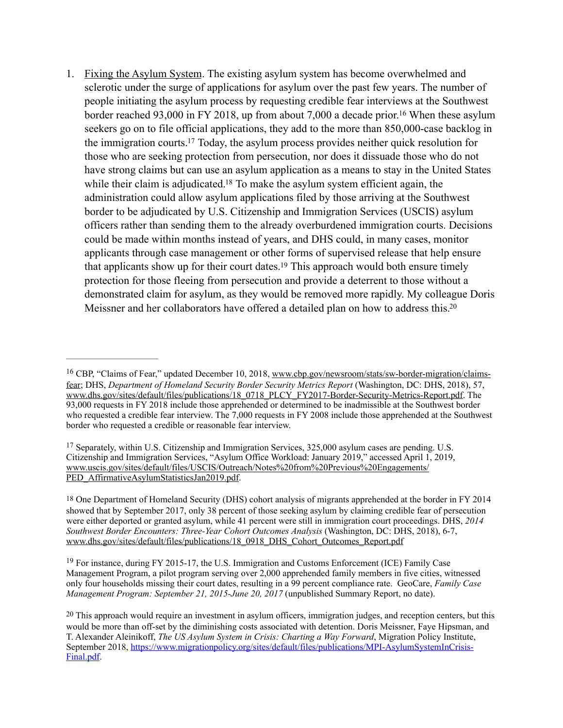<span id="page-5-7"></span><span id="page-5-6"></span><span id="page-5-5"></span>1. Fixing the Asylum System. The existing asylum system has become overwhelmed and sclerotic under the surge of applications for asylum over the past few years. The number of people initiating the asylum process by requesting credible fear interviews at the Southwest border reached 93,000 in FY 2018, up from about 7,000 a decade prior[.](#page-5-0)<sup>[16](#page-5-0)</sup> When these asylum seekers go on to file official applications, they add to the more than 850,000-case backlog in the immigration courts[.](#page-5-1)<sup>[17](#page-5-1)</sup> Today, the asylum process provides neither quick resolution for those who are seeking protection from persecution, nor does it dissuade those who do not have strong claims but can use an asylum application as a means to stay in the United States while their claim is adjudicated[.](#page-5-2)<sup>[18](#page-5-2)</sup> To make the asylum system efficient again, the administration could allow asylum applications filed by those arriving at the Southwest border to be adjudicated by U.S. Citizenship and Immigration Services (USCIS) asylum officers rather than sending them to the already overburdened immigration courts. Decisions could be made within months instead of years, and DHS could, in many cases, monitor applicants through case management or other forms of supervised release that help ensure that applicants show up for their court dates[.](#page-5-3)<sup>[19](#page-5-3)</sup> This approach would both ensure timely protection for those fleeing from persecution and provide a deterrent to those without a demonstrated claim for asylum, as they would be removed more rapidly. My colleague Doris Meissner and her collaborators have offered a detailed plan on how to address this[.20](#page-5-4)

<span id="page-5-9"></span><span id="page-5-8"></span><span id="page-5-0"></span><sup>&</sup>lt;sup>16</sup> CBP, "Claims of Fear," updated December 10, 2018, [www.cbp.gov/newsroom/stats/sw-border-migration/claims](http://www.cbp.gov/newsroom/stats/sw-border-migration/claims-fear) [fear;](http://www.cbp.gov/newsroom/stats/sw-border-migration/claims-fear) DHS, *Department of Homeland Security Border Security Metrics Report* (Washington, DC: DHS, 2018), 57, [www.dhs.gov/sites/default/files/publications/18\\_0718\\_PLCY\\_FY2017-Border-Security-Metrics-Report.pdf.](http://www.dhs.gov/sites/default/files/publications/18_0718_PLCY_FY2017-Border-Security-Metrics-Report.pdf) The 93,000 requests in FY 2018 include those apprehended or determined to be inadmissible at the Southwest border who requested a credible fear interview. The 7,000 requests in FY 2008 include those apprehended at the Southwest border who requested a credible or reasonable fear interview.

<span id="page-5-1"></span> $17$  Separately, within U.S. Citizenship and Immigration Services, 325,000 asylum cases are pending. U.S. Citizenship and Immigration Services, "Asylum Office Workload: January 2019," accessed April 1, 2019, [www.uscis.gov/sites/default/files/USCIS/Outreach/Notes%20from%20Previous%20Engagements/](http://www.uscis.gov/sites/default/files/USCIS/Outreach/Notes%252520from%252520Previous%252520Engagements/PED_AffirmativeAsylumStatisticsJan2019.pdf) [PED\\_AffirmativeAsylumStatisticsJan2019.pdf.](http://www.uscis.gov/sites/default/files/USCIS/Outreach/Notes%252520from%252520Previous%252520Engagements/PED_AffirmativeAsylumStatisticsJan2019.pdf)

<span id="page-5-2"></span>[<sup>18</sup>](#page-5-7) One Department of Homeland Security (DHS) cohort analysis of migrants apprehended at the border in FY 2014 showed that by September 2017, only 38 percent of those seeking asylum by claiming credible fear of persecution were either deported or granted asylum, while 41 percent were still in immigration court proceedings. DHS, *2014 Southwest Border Encounters: Three-Year Cohort Outcomes Analysis* (Washington, DC: DHS, 2018), 6-7, [www.dhs.gov/sites/default/files/publications/18\\_0918\\_DHS\\_Cohort\\_Outcomes\\_Report.pdf](https://www.dhs.gov/sites/default/files/publications/18_0918_DHS_Cohort_Outcomes_Report.pdf)

<span id="page-5-3"></span> $^{19}$  $^{19}$  $^{19}$  For instance, during FY 2015-17, the U.S. Immigration and Customs Enforcement (ICE) Family Case Management Program, a pilot program serving over 2,000 apprehended family members in five cities, witnessed only four households missing their court dates, resulting in a 99 percent compliance rate. GeoCare, *Family Case Management Program: September 21, 2015-June 20, 2017* (unpublished Summary Report, no date).

<span id="page-5-4"></span>[<sup>20</sup>](#page-5-9) This approach would require an investment in asylum officers, immigration judges, and reception centers, but this would be more than off-set by the diminishing costs associated with detention. Doris Meissner, Faye Hipsman, and T. Alexander Aleinikoff, *The US Asylum System in Crisis: Charting a Way Forward*, Migration Policy Institute, September 2018, [https://www.migrationpolicy.org/sites/default/files/publications/MPI-AsylumSystemInCrisis-](https://www.migrationpolicy.org/sites/default/files/publications/MPI-AsylumSystemInCrisis-Final.pdf)[Final.pdf](https://www.migrationpolicy.org/sites/default/files/publications/MPI-AsylumSystemInCrisis-Final.pdf).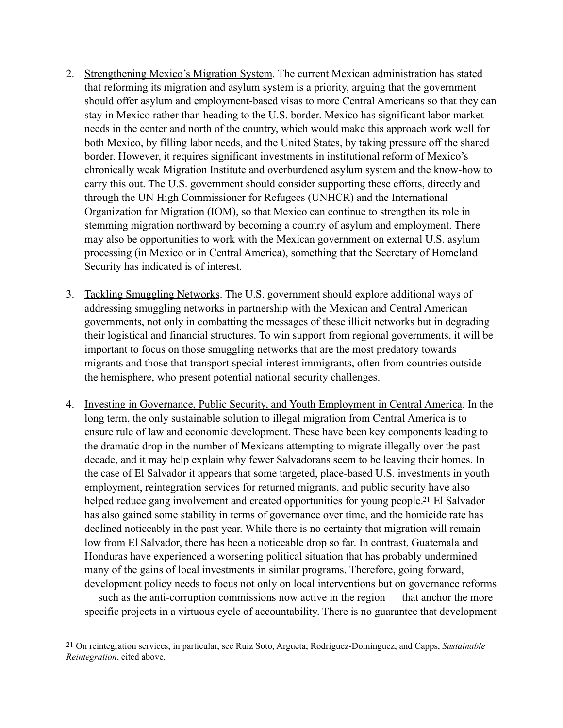- 2. Strengthening Mexico's Migration System. The current Mexican administration has stated that reforming its migration and asylum system is a priority, arguing that the government should offer asylum and employment-based visas to more Central Americans so that they can stay in Mexico rather than heading to the U.S. border. Mexico has significant labor market needs in the center and north of the country, which would make this approach work well for both Mexico, by filling labor needs, and the United States, by taking pressure off the shared border. However, it requires significant investments in institutional reform of Mexico's chronically weak Migration Institute and overburdened asylum system and the know-how to carry this out. The U.S. government should consider supporting these efforts, directly and through the UN High Commissioner for Refugees (UNHCR) and the International Organization for Migration (IOM), so that Mexico can continue to strengthen its role in stemming migration northward by becoming a country of asylum and employment. There may also be opportunities to work with the Mexican government on external U.S. asylum processing (in Mexico or in Central America), something that the Secretary of Homeland Security has indicated is of interest.
- 3. Tackling Smuggling Networks. The U.S. government should explore additional ways of addressing smuggling networks in partnership with the Mexican and Central American governments, not only in combatting the messages of these illicit networks but in degrading their logistical and financial structures. To win support from regional governments, it will be important to focus on those smuggling networks that are the most predatory towards migrants and those that transport special-interest immigrants, often from countries outside the hemisphere, who present potential national security challenges.
- <span id="page-6-1"></span>4. Investing in Governance, Public Security, and Youth Employment in Central America. In the long term, the only sustainable solution to illegal migration from Central America is to ensure rule of law and economic development. These have been key components leading to the dramatic drop in the number of Mexicans attempting to migrate illegally over the past decade, and it may help explain why fewer Salvadorans seem to be leaving their homes. In the case of El Salvador it appears that some targeted, place-based U.S. investments in youth employment, reintegration services for returned migrants, and public security have also helped reduce gang involvement and created opportunities for young people[.](#page-6-0)<sup>[21](#page-6-0)</sup> El Salvador has also gained some stability in terms of governance over time, and the homicide rate has declined noticeably in the past year. While there is no certainty that migration will remain low from El Salvador, there has been a noticeable drop so far. In contrast, Guatemala and Honduras have experienced a worsening political situation that has probably undermined many of the gains of local investments in similar programs. Therefore, going forward, development policy needs to focus not only on local interventions but on governance reforms — such as the anti-corruption commissions now active in the region — that anchor the more specific projects in a virtuous cycle of accountability. There is no guarantee that development

<span id="page-6-0"></span>[<sup>21</sup>](#page-6-1) On reintegration services, in particular, see Ruiz Soto, Argueta, Rodriguez-Dominguez, and Capps, *Sustainable Reintegration*, cited above.